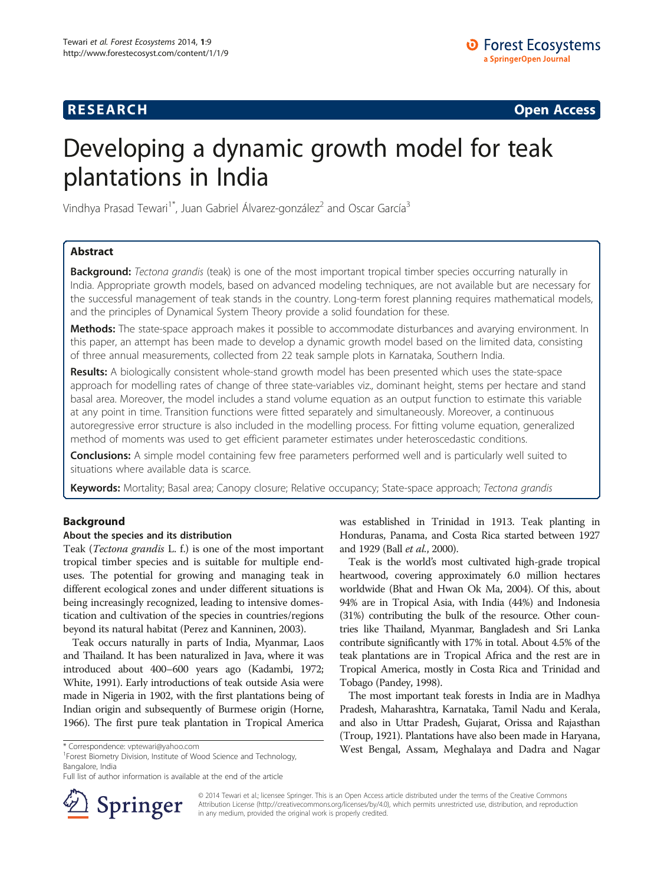## **RESEARCH RESEARCH CONSUMING ACCESS**

# Developing a dynamic growth model for teak plantations in India

Vindhya Prasad Tewari<sup>1\*</sup>, Juan Gabriel Álvarez-gonzález<sup>2</sup> and Oscar García<sup>3</sup>

## Abstract

**Background:** Tectona grandis (teak) is one of the most important tropical timber species occurring naturally in India. Appropriate growth models, based on advanced modeling techniques, are not available but are necessary for the successful management of teak stands in the country. Long-term forest planning requires mathematical models, and the principles of Dynamical System Theory provide a solid foundation for these.

Methods: The state-space approach makes it possible to accommodate disturbances and avarying environment. In this paper, an attempt has been made to develop a dynamic growth model based on the limited data, consisting of three annual measurements, collected from 22 teak sample plots in Karnataka, Southern India.

Results: A biologically consistent whole-stand growth model has been presented which uses the state-space approach for modelling rates of change of three state-variables viz., dominant height, stems per hectare and stand basal area. Moreover, the model includes a stand volume equation as an output function to estimate this variable at any point in time. Transition functions were fitted separately and simultaneously. Moreover, a continuous autoregressive error structure is also included in the modelling process. For fitting volume equation, generalized method of moments was used to get efficient parameter estimates under heteroscedastic conditions.

**Conclusions:** A simple model containing few free parameters performed well and is particularly well suited to situations where available data is scarce.

Keywords: Mortality; Basal area; Canopy closure; Relative occupancy; State-space approach; Tectona grandis

## Background

## About the species and its distribution

Teak (Tectona grandis L. f.) is one of the most important tropical timber species and is suitable for multiple enduses. The potential for growing and managing teak in different ecological zones and under different situations is being increasingly recognized, leading to intensive domestication and cultivation of the species in countries/regions beyond its natural habitat (Perez and Kanninen, [2003](#page-9-0)).

Teak occurs naturally in parts of India, Myanmar, Laos and Thailand. It has been naturalized in Java, where it was introduced about 400–600 years ago (Kadambi, [1972](#page-9-0); White, [1991\)](#page-9-0). Early introductions of teak outside Asia were made in Nigeria in 1902, with the first plantations being of Indian origin and subsequently of Burmese origin (Horne, [1966\)](#page-9-0). The first pure teak plantation in Tropical America

<sup>1</sup>Forest Biometry Division, Institute of Wood Science and Technology, Bangalore, India



Teak is the world's most cultivated high-grade tropical heartwood, covering approximately 6.0 million hectares worldwide (Bhat and Hwan Ok Ma, [2004](#page-9-0)). Of this, about 94% are in Tropical Asia, with India (44%) and Indonesia (31%) contributing the bulk of the resource. Other countries like Thailand, Myanmar, Bangladesh and Sri Lanka contribute significantly with 17% in total. About 4.5% of the teak plantations are in Tropical Africa and the rest are in Tropical America, mostly in Costa Rica and Trinidad and Tobago (Pandey, [1998\)](#page-9-0).

The most important teak forests in India are in Madhya Pradesh, Maharashtra, Karnataka, Tamil Nadu and Kerala, and also in Uttar Pradesh, Gujarat, Orissa and Rajasthan (Troup, [1921](#page-9-0)). Plantations have also been made in Haryana, \* Correspondence: [vptewari@yahoo.com](mailto:vptewari@yahoo.com) West Bengal, Assam, Meghalaya and Dadra and Nagar



© 2014 Tewari et al.; licensee Springer. This is an Open Access article distributed under the terms of the Creative Commons Attribution License [\(http://creativecommons.org/licenses/by/4.0\)](http://creativecommons.org/licenses/by/4.0), which permits unrestricted use, distribution, and reproduction in any medium, provided the original work is properly credited.

Full list of author information is available at the end of the article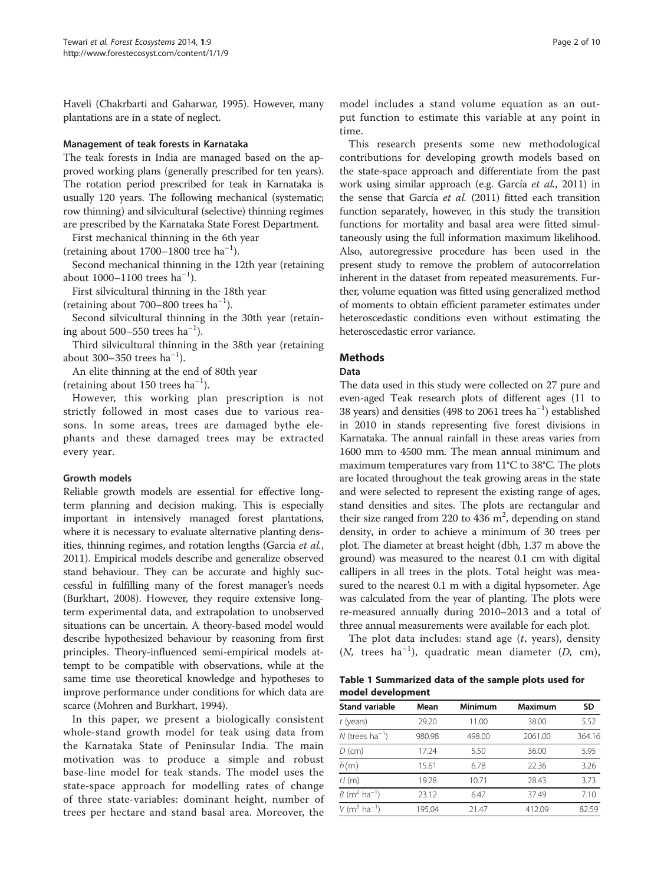<span id="page-1-0"></span>Haveli (Chakrbarti and Gaharwar, [1995](#page-9-0)). However, many plantations are in a state of neglect.

## Management of teak forests in Karnataka

The teak forests in India are managed based on the approved working plans (generally prescribed for ten years). The rotation period prescribed for teak in Karnataka is usually 120 years. The following mechanical (systematic; row thinning) and silvicultural (selective) thinning regimes are prescribed by the Karnataka State Forest Department.

First mechanical thinning in the 6th year (retaining about  $1700-1800$  tree  $ha^{-1}$ ).

Second mechanical thinning in the 12th year (retaining about 1000–1100 trees  $ha^{-1}$ ).

First silvicultural thinning in the 18th year

(retaining about  $700-800$  trees  $ha^{-1}$ ).

Second silvicultural thinning in the 30th year (retaining about 500–550 trees  $ha^{-1}$ ).

Third silvicultural thinning in the 38th year (retaining about 300–350 trees  $ha^{-1}$ ).

An elite thinning at the end of 80th year

(retaining about 150 trees  $ha^{-1}$ ).

However, this working plan prescription is not strictly followed in most cases due to various reasons. In some areas, trees are damaged bythe elephants and these damaged trees may be extracted every year.

## Growth models

Reliable growth models are essential for effective longterm planning and decision making. This is especially important in intensively managed forest plantations, where it is necessary to evaluate alternative planting densities, thinning regimes, and rotation lengths (Garcia et al., [2011\)](#page-9-0). Empirical models describe and generalize observed stand behaviour. They can be accurate and highly successful in fulfilling many of the forest manager's needs (Burkhart, [2008](#page-9-0)). However, they require extensive longterm experimental data, and extrapolation to unobserved situations can be uncertain. A theory-based model would describe hypothesized behaviour by reasoning from first principles. Theory-influenced semi-empirical models attempt to be compatible with observations, while at the same time use theoretical knowledge and hypotheses to improve performance under conditions for which data are scarce (Mohren and Burkhart, [1994](#page-9-0)).

In this paper, we present a biologically consistent whole-stand growth model for teak using data from the Karnataka State of Peninsular India. The main motivation was to produce a simple and robust base-line model for teak stands. The model uses the state-space approach for modelling rates of change of three state-variables: dominant height, number of trees per hectare and stand basal area. Moreover, the

model includes a stand volume equation as an output function to estimate this variable at any point in time.

This research presents some new methodological contributions for developing growth models based on the state-space approach and differentiate from the past work using similar approach (e.g. García et al., [2011\)](#page-9-0) in the sense that García et al. [\(2011](#page-9-0)) fitted each transition function separately, however, in this study the transition functions for mortality and basal area were fitted simultaneously using the full information maximum likelihood. Also, autoregressive procedure has been used in the present study to remove the problem of autocorrelation inherent in the dataset from repeated measurements. Further, volume equation was fitted using generalized method of moments to obtain efficient parameter estimates under heteroscedastic conditions even without estimating the heteroscedastic error variance.

## **Methods**

## Data

The data used in this study were collected on 27 pure and even-aged Teak research plots of different ages (11 to 38 years) and densities (498 to 2061 trees ha−<sup>1</sup> ) established in 2010 in stands representing five forest divisions in Karnataka. The annual rainfall in these areas varies from 1600 mm to 4500 mm. The mean annual minimum and maximum temperatures vary from 11°C to 38°C. The plots are located throughout the teak growing areas in the state and were selected to represent the existing range of ages, stand densities and sites. The plots are rectangular and their size ranged from 220 to 436  $m^2$ , depending on stand density, in order to achieve a minimum of 30 trees per plot. The diameter at breast height (dbh, 1.37 m above the ground) was measured to the nearest 0.1 cm with digital callipers in all trees in the plots. Total height was measured to the nearest 0.1 m with a digital hypsometer. Age was calculated from the year of planting. The plots were re-measured annually during 2010–2013 and a total of three annual measurements were available for each plot.

The plot data includes: stand age  $(t,$  years), density (N, trees ha−<sup>1</sup> ), quadratic mean diameter (D, cm),

Table 1 Summarized data of the sample plots used for model development

| <b>Stand variable</b>                  | Mean   | Minimum | <b>Maximum</b> | SD     |
|----------------------------------------|--------|---------|----------------|--------|
| $t$ (years)                            | 29.20  | 11.00   | 38.00          | 5.52   |
| $N$ (trees ha <sup>-1</sup> )          | 980.98 | 498.00  | 2061.00        | 364.16 |
| $D$ (cm)                               | 17.24  | 5.50    | 36.00          | 5.95   |
| $\bar{h}$ (m)                          | 15.61  | 6.78    | 22.36          | 3.26   |
| H(m)                                   | 19.28  | 10.71   | 28.43          | 3.73   |
| $B$ (m <sup>2</sup> ha <sup>-1</sup> ) | 23.12  | 6.47    | 37.49          | 7.10   |
| $V$ (m <sup>3</sup> ha <sup>-1</sup> ) | 195.04 | 21.47   | 412.09         | 82.59  |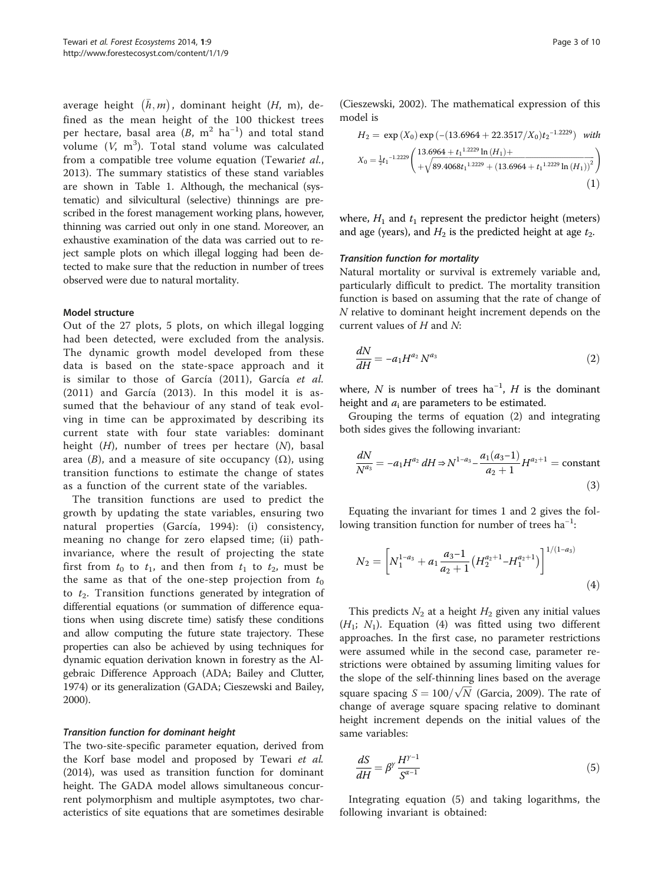<span id="page-2-0"></span>average height  $(\bar h, m)$ , dominant height (H, m), defined as the mean height of the 100 thickest trees per hectare, basal area  $(B, m^2 \text{ ha}^{-1})$  and total stand volume  $(V, m^3)$ . Total stand volume was calculated from a compatible tree volume equation (Tewariet al., [2013\)](#page-9-0). The summary statistics of these stand variables are shown in Table [1](#page-1-0). Although, the mechanical (systematic) and silvicultural (selective) thinnings are prescribed in the forest management working plans, however, thinning was carried out only in one stand. Moreover, an exhaustive examination of the data was carried out to reject sample plots on which illegal logging had been detected to make sure that the reduction in number of trees observed were due to natural mortality.

## Model structure

Out of the 27 plots, 5 plots, on which illegal logging had been detected, were excluded from the analysis. The dynamic growth model developed from these data is based on the state-space approach and it is similar to those of García ([2011](#page-9-0)), García et al. ([2011](#page-9-0)) and García ([2013](#page-9-0)). In this model it is assumed that the behaviour of any stand of teak evolving in time can be approximated by describing its current state with four state variables: dominant height  $(H)$ , number of trees per hectare  $(N)$ , basal area (B), and a measure of site occupancy ( $\Omega$ ), using transition functions to estimate the change of states as a function of the current state of the variables.

The transition functions are used to predict the growth by updating the state variables, ensuring two natural properties (García, [1994](#page-9-0)): (i) consistency, meaning no change for zero elapsed time; (ii) pathinvariance, where the result of projecting the state first from  $t_0$  to  $t_1$ , and then from  $t_1$  to  $t_2$ , must be the same as that of the one-step projection from  $t_0$ to  $t_2$ . Transition functions generated by integration of differential equations (or summation of difference equations when using discrete time) satisfy these conditions and allow computing the future state trajectory. These properties can also be achieved by using techniques for dynamic equation derivation known in forestry as the Algebraic Difference Approach (ADA; Bailey and Clutter, [1974\)](#page-9-0) or its generalization (GADA; Cieszewski and Bailey, [2000\)](#page-9-0).

#### Transition function for dominant height

The two-site-specific parameter equation, derived from the Korf base model and proposed by Tewari et al. ([2014](#page-9-0)), was used as transition function for dominant height. The GADA model allows simultaneous concurrent polymorphism and multiple asymptotes, two characteristics of site equations that are sometimes desirable (Cieszewski, [2002\)](#page-9-0). The mathematical expression of this model is

$$
H_2 = \exp(X_0) \exp(-(13.6964 + 22.3517/X_0)t_2^{-1.2229}) \text{ with}
$$
  
\n
$$
X_0 = \frac{1}{2}t_1^{-1.2229} \left(\frac{13.6964 + t_1^{1.2229} \ln(H_1) +}{+\sqrt{89.4068t_1^{1.2229} + (13.6964 + t_1^{1.2229} \ln(H_1))^2}}\right)
$$
\n(1)

where,  $H_1$  and  $t_1$  represent the predictor height (meters) and age (years), and  $H_2$  is the predicted height at age  $t_2$ .

#### Transition function for mortality

Natural mortality or survival is extremely variable and, particularly difficult to predict. The mortality transition function is based on assuming that the rate of change of N relative to dominant height increment depends on the current values of H and N:

$$
\frac{dN}{dH} = -a_1 H^{a_2} N^{a_3} \tag{2}
$$

where, N is number of trees  $ha^{-1}$ , H is the dominant height and  $a_i$  are parameters to be estimated.

Grouping the terms of equation (2) and integrating both sides gives the following invariant:

$$
\frac{dN}{N^{a_3}} = -a_1 H^{a_2} dH \Rightarrow N^{1-a_3} - \frac{a_1(a_3-1)}{a_2+1} H^{a_2+1} = \text{constant}
$$
\n(3)

Equating the invariant for times 1 and 2 gives the following transition function for number of trees ha<sup>-1</sup>:

$$
N_2 = \left[ N_1^{1-a_3} + a_1 \frac{a_3 - 1}{a_2 + 1} \left( H_2^{a_2 + 1} - H_1^{a_2 + 1} \right) \right]^{1/(1-a_3)}
$$
\n
$$
\tag{4}
$$

This predicts  $N_2$  at a height  $H_2$  given any initial values  $(H_1; N_1)$ . Equation (4) was fitted using two different approaches. In the first case, no parameter restrictions were assumed while in the second case, parameter restrictions were obtained by assuming limiting values for the slope of the self-thinning lines based on the average square spacing  $S = 100/\sqrt{N}$  (Garcia, [2009\)](#page-9-0). The rate of change of average square spacing relative to dominant change of average square spacing relative to dominant height increment depends on the initial values of the same variables:

$$
\frac{dS}{dH} = \beta^{\gamma} \frac{H^{\gamma - 1}}{S^{\alpha - 1}}\tag{5}
$$

Integrating equation (5) and taking logarithms, the following invariant is obtained: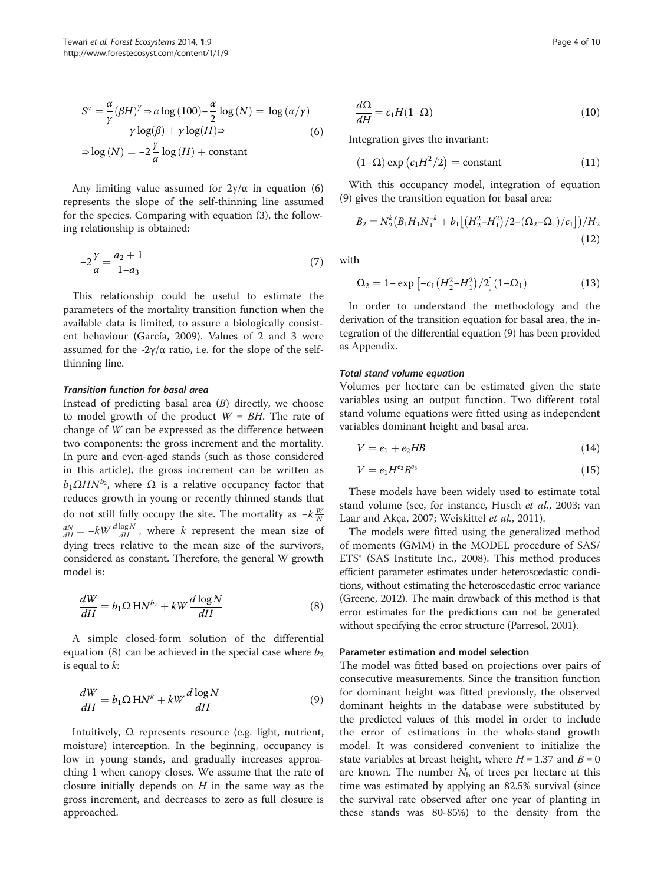<span id="page-3-0"></span>
$$
S^{\alpha} = \frac{\alpha}{\gamma} (\beta H)^{\gamma} \Rightarrow \alpha \log (100) - \frac{\alpha}{2} \log (N) = \log (\alpha/\gamma)
$$
  
+  $\gamma \log(\beta) + \gamma \log(H) \Rightarrow$  (6)  

$$
\Rightarrow \log (N) = -2 \frac{\gamma}{\alpha} \log (H) + \text{constant}
$$

Any limiting value assumed for  $2γ/α$  in equation (6) represents the slope of the self-thinning line assumed for the species. Comparing with equation ([3\)](#page-2-0), the following relationship is obtained:

$$
-2\frac{\gamma}{\alpha} = \frac{a_2 + 1}{1 - a_3} \tag{7}
$$

This relationship could be useful to estimate the parameters of the mortality transition function when the available data is limited, to assure a biologically consistent behaviour (García, [2009\)](#page-9-0). Values of 2 and 3 were assumed for the  $-2\gamma/\alpha$  ratio, i.e. for the slope of the selfthinning line.

## Transition function for basal area

Instead of predicting basal area  $(B)$  directly, we choose to model growth of the product  $W = BH$ . The rate of change of W can be expressed as the difference between two components: the gross increment and the mortality. In pure and even-aged stands (such as those considered in this article), the gross increment can be written as  $b_1\Omega HN^{b_2}$ , where  $\Omega$  is a relative occupancy factor that reduces growth in young or recently thinned stands that do not still fully occupy the site. The mortality as  $-k\frac{W}{N}$  $\frac{dN}{dt} = -kW \frac{d\log N}{dt}$ , where k represent the mean size of the sumplicity dying trees relative to the mean size of the survivors, considered as constant. Therefore, the general W growth model is:

$$
\frac{dW}{dH} = b_1 \Omega H N^{b_2} + kW \frac{d \log N}{dH}
$$
 (8)

A simple closed-form solution of the differential equation (8) can be achieved in the special case where  $b_2$ is equal to k:

$$
\frac{dW}{dH} = b_1 \Omega H N^k + kW \frac{d \log N}{dH}
$$
\n(9)

Intuitively, Ω represents resource (e.g. light, nutrient, moisture) interception. In the beginning, occupancy is low in young stands, and gradually increases approaching 1 when canopy closes. We assume that the rate of closure initially depends on  $H$  in the same way as the gross increment, and decreases to zero as full closure is approached.

$$
\frac{d\Omega}{dH} = c_1 H (1 - \Omega) \tag{10}
$$

Integration gives the invariant:

$$
(1 - \Omega) \exp\left(c_1 H^2 / 2\right) = \text{constant} \tag{11}
$$

With this occupancy model, integration of equation (9) gives the transition equation for basal area:

$$
B_2 = N_2^k (B_1 H_1 N_1^{-k} + b_1 [(H_2^2 - H_1^2)/2 - (\Omega_2 - \Omega_1)/c_1]) / H_2
$$
\n(12)

with

$$
\Omega_2 = 1 - \exp\left[-c_1 \left(H_2^2 - H_1^2\right)/2\right] (1 - \Omega_1) \tag{13}
$$

In order to understand the methodology and the derivation of the transition equation for basal area, the integration of the differential equation (9) has been provided as [Appendix.](#page-8-0)

#### Total stand volume equation

Volumes per hectare can be estimated given the state variables using an output function. Two different total stand volume equations were fitted using as independent variables dominant height and basal area.

$$
V = e_1 + e_2 H B \tag{14}
$$

$$
V = e_1 H^{e_2} B^{e_3} \tag{15}
$$

These models have been widely used to estimate total stand volume (see, for instance, Husch et al., [2003](#page-9-0); van Laar and Akça, [2007](#page-9-0); Weiskittel et al., [2011\)](#page-9-0).

The models were fitted using the generalized method of moments (GMM) in the MODEL procedure of SAS/ ETS® (SAS Institute Inc., [2008\)](#page-9-0). This method produces efficient parameter estimates under heteroscedastic conditions, without estimating the heteroscedastic error variance (Greene, [2012\)](#page-9-0). The main drawback of this method is that error estimates for the predictions can not be generated without specifying the error structure (Parresol, [2001\)](#page-9-0).

#### Parameter estimation and model selection

The model was fitted based on projections over pairs of consecutive measurements. Since the transition function for dominant height was fitted previously, the observed dominant heights in the database were substituted by the predicted values of this model in order to include the error of estimations in the whole-stand growth model. It was considered convenient to initialize the state variables at breast height, where  $H = 1.37$  and  $B = 0$ are known. The number  $N<sub>b</sub>$  of trees per hectare at this time was estimated by applying an 82.5% survival (since the survival rate observed after one year of planting in these stands was 80-85%) to the density from the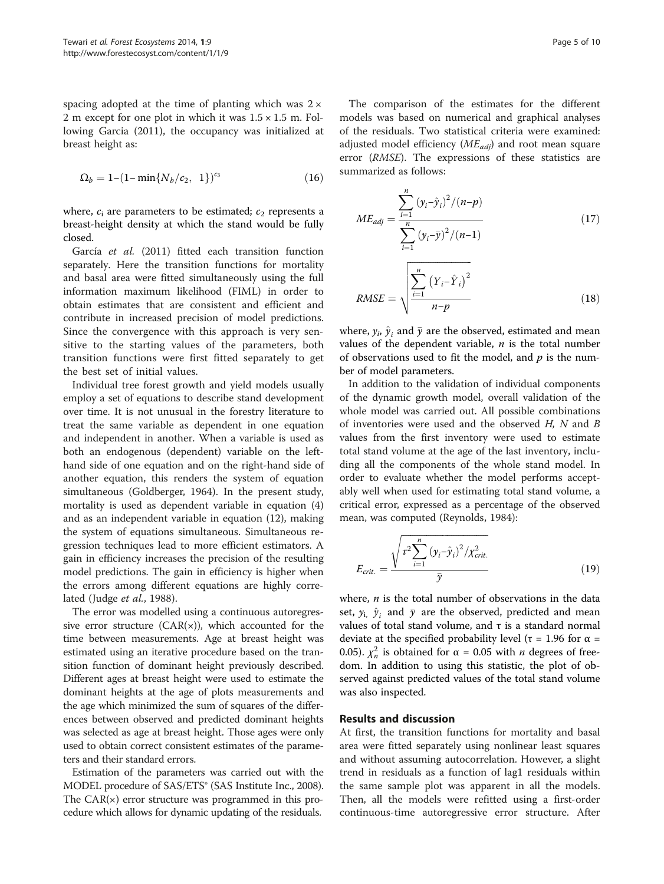<span id="page-4-0"></span>spacing adopted at the time of planting which was  $2 \times$ 2 m except for one plot in which it was  $1.5 \times 1.5$  m. Following Garcia [\(2011\)](#page-9-0), the occupancy was initialized at breast height as:

$$
\Omega_b = 1 - (1 - \min\{N_b/c_2, 1\})^{c_3} \tag{16}
$$

where,  $c_i$  are parameters to be estimated;  $c_2$  represents a breast-height density at which the stand would be fully closed.

García et al. [\(2011\)](#page-9-0) fitted each transition function separately. Here the transition functions for mortality and basal area were fitted simultaneously using the full information maximum likelihood (FIML) in order to obtain estimates that are consistent and efficient and contribute in increased precision of model predictions. Since the convergence with this approach is very sensitive to the starting values of the parameters, both transition functions were first fitted separately to get the best set of initial values.

Individual tree forest growth and yield models usually employ a set of equations to describe stand development over time. It is not unusual in the forestry literature to treat the same variable as dependent in one equation and independent in another. When a variable is used as both an endogenous (dependent) variable on the lefthand side of one equation and on the right-hand side of another equation, this renders the system of equation simultaneous (Goldberger, [1964](#page-9-0)). In the present study, mortality is used as dependent variable in equation [\(4](#page-2-0)) and as an independent variable in equation ([12\)](#page-3-0), making the system of equations simultaneous. Simultaneous regression techniques lead to more efficient estimators. A gain in efficiency increases the precision of the resulting model predictions. The gain in efficiency is higher when the errors among different equations are highly corre-lated (Judge et al., [1988\)](#page-9-0).

The error was modelled using a continuous autoregressive error structure  $(CAR(x))$ , which accounted for the time between measurements. Age at breast height was estimated using an iterative procedure based on the transition function of dominant height previously described. Different ages at breast height were used to estimate the dominant heights at the age of plots measurements and the age which minimized the sum of squares of the differences between observed and predicted dominant heights was selected as age at breast height. Those ages were only used to obtain correct consistent estimates of the parameters and their standard errors.

Estimation of the parameters was carried out with the MODEL procedure of SAS/ETS® (SAS Institute Inc., [2008](#page-9-0)). The  $CAR(x)$  error structure was programmed in this procedure which allows for dynamic updating of the residuals.

The comparison of the estimates for the different models was based on numerical and graphical analyses of the residuals. Two statistical criteria were examined: adjusted model efficiency  $(ME_{adj})$  and root mean square error (RMSE). The expressions of these statistics are summarized as follows:

$$
ME_{adj} = \frac{\sum_{i=1}^{n} (y_i - \hat{y}_i)^2 / (n - p)}{\sum_{i=1}^{n} (y_i - \bar{y})^2 / (n - 1)}
$$
(17)  

$$
\sum_{i=1}^{n} (Y_i - \hat{Y}_i)^2
$$

RMSE = 
$$
\sqrt{\frac{\sum_{i=1}^{n} (Y_i - \hat{Y}_i)^2}{n-p}}
$$
 (18)

where,  $y_i$ ,  $\hat{y}_i$  and  $\bar{y}$  are the observed, estimated and mean values of the dependent variable,  $n$  is the total number of observations used to fit the model, and  $p$  is the number of model parameters.

In addition to the validation of individual components of the dynamic growth model, overall validation of the whole model was carried out. All possible combinations of inventories were used and the observed  $H$ ,  $N$  and  $B$ values from the first inventory were used to estimate total stand volume at the age of the last inventory, including all the components of the whole stand model. In order to evaluate whether the model performs acceptably well when used for estimating total stand volume, a critical error, expressed as a percentage of the observed mean, was computed (Reynolds, [1984](#page-9-0)):

$$
E_{crit.} = \frac{\sqrt{\tau^2 \sum_{i=1}^{n} (y_i - \hat{y}_i)^2 / \chi_{crit.}^2}}{\bar{y}}
$$
(19)

where,  $n$  is the total number of observations in the data set,  $y_i$ ,  $\hat{y}_i$  and  $\bar{y}$  are the observed, predicted and mean values of total stand volume, and τ is a standard normal deviate at the specified probability level ( $τ = 1.96$  for  $α =$ 0.05).  $\chi^2_n$  is obtained for  $\alpha = 0.05$  with *n* degrees of freedom. In addition to using this statistic, the plot of observed against predicted values of the total stand volume was also inspected.

## Results and discussion

At first, the transition functions for mortality and basal area were fitted separately using nonlinear least squares and without assuming autocorrelation. However, a slight trend in residuals as a function of lag1 residuals within the same sample plot was apparent in all the models. Then, all the models were refitted using a first-order continuous-time autoregressive error structure. After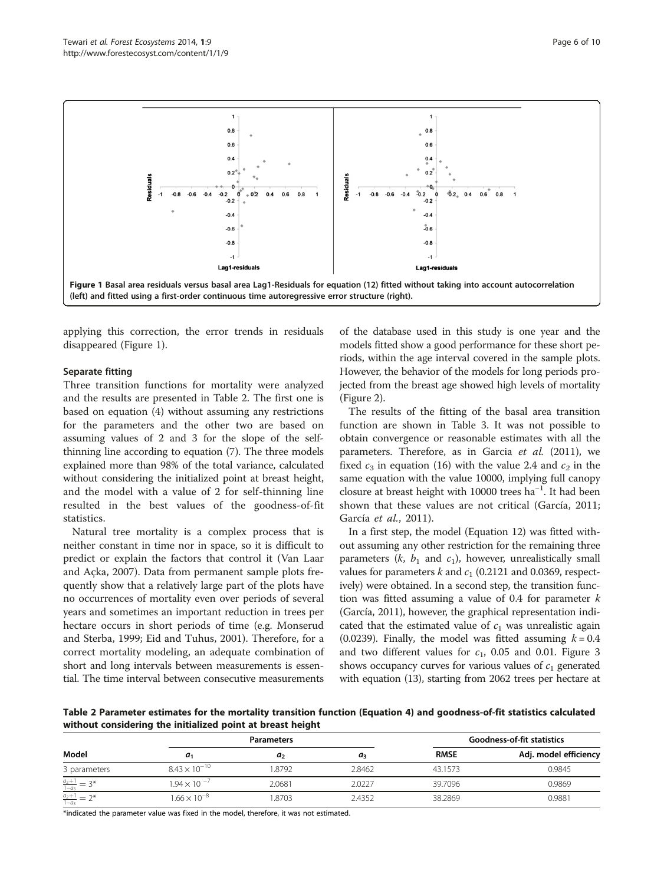

applying this correction, the error trends in residuals disappeared (Figure 1).

#### Separate fitting

Three transition functions for mortality were analyzed and the results are presented in Table 2. The first one is based on equation [\(4](#page-2-0)) without assuming any restrictions for the parameters and the other two are based on assuming values of 2 and 3 for the slope of the selfthinning line according to equation [\(7\)](#page-3-0). The three models explained more than 98% of the total variance, calculated without considering the initialized point at breast height, and the model with a value of 2 for self-thinning line resulted in the best values of the goodness-of-fit statistics.

Natural tree mortality is a complex process that is neither constant in time nor in space, so it is difficult to predict or explain the factors that control it (Van Laar and Açka, [2007](#page-9-0)). Data from permanent sample plots frequently show that a relatively large part of the plots have no occurrences of mortality even over periods of several years and sometimes an important reduction in trees per hectare occurs in short periods of time (e.g. Monserud and Sterba, [1999;](#page-9-0) Eid and Tuhus, [2001](#page-9-0)). Therefore, for a correct mortality modeling, an adequate combination of short and long intervals between measurements is essential. The time interval between consecutive measurements

of the database used in this study is one year and the models fitted show a good performance for these short periods, within the age interval covered in the sample plots. However, the behavior of the models for long periods projected from the breast age showed high levels of mortality (Figure [2](#page-6-0)).

The results of the fitting of the basal area transition function are shown in Table [3.](#page-6-0) It was not possible to obtain convergence or reasonable estimates with all the parameters. Therefore, as in Garcia et al. ([2011](#page-9-0)), we fixed  $c_3$  in equation ([16\)](#page-4-0) with the value 2.4 and  $c_2$  in the same equation with the value 10000, implying full canopy closure at breast height with 10000 trees ha−<sup>1</sup> . It had been shown that these values are not critical (García, [2011](#page-9-0); García et al., [2011\)](#page-9-0).

In a first step, the model (Equation [12\)](#page-3-0) was fitted without assuming any other restriction for the remaining three parameters  $(k, b_1 \text{ and } c_1)$ , however, unrealistically small values for parameters  $k$  and  $c_1$  (0.2121 and 0.0369, respectively) were obtained. In a second step, the transition function was fitted assuming a value of 0.4 for parameter  $k$ (García, [2011](#page-9-0)), however, the graphical representation indicated that the estimated value of  $c_1$  was unrealistic again (0.0239). Finally, the model was fitted assuming  $k = 0.4$ and two different values for  $c_1$ , 0.05 and 0.01. Figure [3](#page-7-0) shows occupancy curves for various values of  $c_1$  generated with equation ([13](#page-3-0)), starting from 2062 trees per hectare at

Table 2 Parameter estimates for the mortality transition function (Equation [4\)](#page-2-0) and goodness-of-fit statistics calculated without considering the initialized point at breast height

|                             | <b>Parameters</b>     |                |        | Goodness-of-fit statistics |                       |
|-----------------------------|-----------------------|----------------|--------|----------------------------|-----------------------|
| Model                       | a.                    | a <sub>2</sub> | a₹     | <b>RMSE</b>                | Adj. model efficiency |
| 3 parameters                | $843 \times 10^{-10}$ | 1.8792         | 2.8462 | 43.1573                    | 0.9845                |
| $\frac{a_2+1}{1-a_3} = 3^*$ | $194 \times 10^{-7}$  | 2.0681         | 2.0227 | 39.7096                    | 0.9869                |
| $\frac{a_2+1}{1-a_3}=2^*$   | $1.66 \times 10^{-8}$ | 1.8703         | 2.4352 | 38.2869                    | 0.9881                |

\*indicated the parameter value was fixed in the model, therefore, it was not estimated.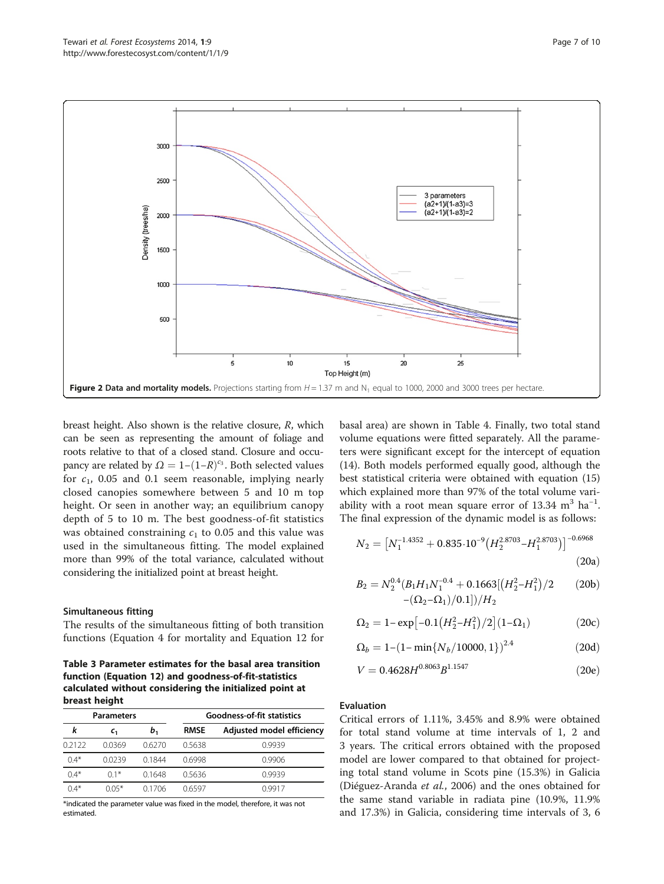<span id="page-6-0"></span>

breast height. Also shown is the relative closure, R, which can be seen as representing the amount of foliage and roots relative to that of a closed stand. Closure and occupancy are related by  $\Omega = 1-(1-R)^{c_3}$ . Both selected values for  $c_1$ , 0.05 and 0.1 seem reasonable, implying nearly closed canopies somewhere between 5 and 10 m top height. Or seen in another way; an equilibrium canopy depth of 5 to 10 m. The best goodness-of-fit statistics was obtained constraining  $c_1$  to 0.05 and this value was used in the simultaneous fitting. The model explained more than 99% of the total variance, calculated without considering the initialized point at breast height.

#### Simultaneous fitting

The results of the simultaneous fitting of both transition functions (Equation [4](#page-2-0) for mortality and Equation [12](#page-3-0) for

Table 3 Parameter estimates for the basal area transition function (Equation [12](#page-3-0)) and goodness-of-fit-statistics calculated without considering the initialized point at breast height

|        | <b>Parameters</b> |        |             | <b>Goodness-of-fit statistics</b> |  |
|--------|-------------------|--------|-------------|-----------------------------------|--|
| k      | $\epsilon_{1}$    | b,     | <b>RMSE</b> | Adjusted model efficiency         |  |
| 0.2122 | 0.0369            | 06270  | 0.5638      | 0.9939                            |  |
| $0.4*$ | 00239             | 01844  | 06998       | 0.9906                            |  |
| $0.4*$ | $01*$             | 0.1648 | 0.5636      | 0.9939                            |  |
| $0.4*$ | በ በ5*             | 0.1706 | 06597       | 09917                             |  |

\*indicated the parameter value was fixed in the model, therefore, it was not estimated.

basal area) are shown in Table [4.](#page-7-0) Finally, two total stand volume equations were fitted separately. All the parameters were significant except for the intercept of equation ([14\)](#page-3-0). Both models performed equally good, although the best statistical criteria were obtained with equation ([15](#page-3-0)) which explained more than 97% of the total volume variability with a root mean square error of 13.34  $m^3$  ha<sup>-1</sup>. The final expression of the dynamic model is as follows:

$$
N_2 = \left[N_1^{-1.4352} + 0.835 \cdot 10^{-9} \left(H_2^{2.8703} - H_1^{2.8703}\right)\right]^{-0.6968}
$$
\n(20a)

$$
B_2 = N_2^{0.4} (B_1 H_1 N_1^{-0.4} + 0.1663[(H_2^2 - H_1^2)/2 \qquad (20b)
$$

$$
-(\Omega_2 - \Omega_1)/0.1]) / H_2
$$

$$
\Omega_2 = 1 - \exp[-0.1 \left( H_2^2 - H_1^2 \right) / 2] \left( 1 - \Omega_1 \right) \tag{20c}
$$

$$
\Omega_b = 1 - (1 - \min\{N_b/10000, 1\})^{2.4}
$$
 (20d)

$$
V = 0.4628H^{0.8063}B^{1.1547}
$$
 (20e)

## Evaluation

Critical errors of 1.11%, 3.45% and 8.9% were obtained for total stand volume at time intervals of 1, 2 and 3 years. The critical errors obtained with the proposed model are lower compared to that obtained for projecting total stand volume in Scots pine (15.3%) in Galicia (Diéguez-Aranda et al., [2006](#page-9-0)) and the ones obtained for the same stand variable in radiata pine (10.9%, 11.9% and 17.3%) in Galicia, considering time intervals of 3, 6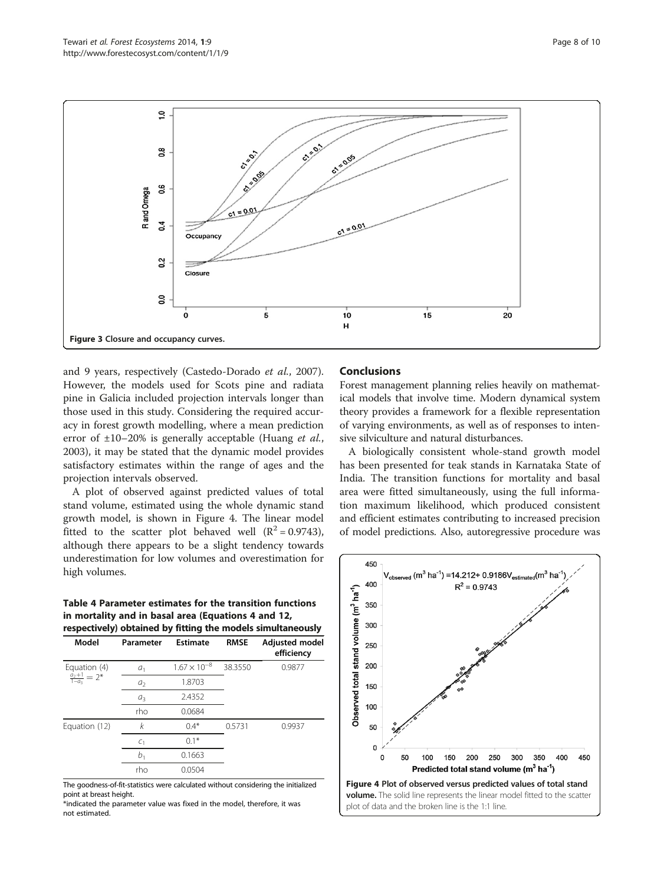<span id="page-7-0"></span>

and 9 years, respectively (Castedo-Dorado et al., [2007](#page-9-0)). However, the models used for Scots pine and radiata pine in Galicia included projection intervals longer than those used in this study. Considering the required accuracy in forest growth modelling, where a mean prediction error of  $\pm 10-20\%$  is generally acceptable (Huang *et al.*, [2003](#page-9-0)), it may be stated that the dynamic model provides satisfactory estimates within the range of ages and the projection intervals observed.

A plot of observed against predicted values of total stand volume, estimated using the whole dynamic stand growth model, is shown in Figure 4. The linear model fitted to the scatter plot behaved well  $(R^2 = 0.9743)$ , although there appears to be a slight tendency towards underestimation for low volumes and overestimation for high volumes.

Table 4 Parameter estimates for the transition functions in mortality and in basal area (Equations [4](#page-2-0) and [12,](#page-3-0) respectively) obtained by fitting the models simultaneously

| Model                                     | Parameter      | <b>Estimate</b>       | <b>RMSE</b> | Adjusted model<br>efficiency |
|-------------------------------------------|----------------|-----------------------|-------------|------------------------------|
| Equation (4)<br>$\frac{a_2+1}{1-a_3}=2^*$ | a <sub>1</sub> | $1.67 \times 10^{-8}$ | 38.3550     | 0.9877                       |
|                                           | a <sub>2</sub> | 1.8703                |             |                              |
|                                           | $a_3$          | 2.4352                |             |                              |
|                                           | rho            | 0.0684                |             |                              |
| Equation (12)                             | k              | $0.4*$                | 0.5731      | 0.9937                       |
|                                           | C <sub>1</sub> | $0.1*$                |             |                              |
|                                           | $b_1$          | 0.1663                |             |                              |
|                                           | rho            | 0.0504                |             |                              |

The goodness-of-fit-statistics were calculated without considering the initialized point at breast height.

\*indicated the parameter value was fixed in the model, therefore, it was not estimated.

## **Conclusions**

Forest management planning relies heavily on mathematical models that involve time. Modern dynamical system theory provides a framework for a flexible representation of varying environments, as well as of responses to intensive silviculture and natural disturbances.

A biologically consistent whole-stand growth model has been presented for teak stands in Karnataka State of India. The transition functions for mortality and basal area were fitted simultaneously, using the full information maximum likelihood, which produced consistent and efficient estimates contributing to increased precision of model predictions. Also, autoregressive procedure was

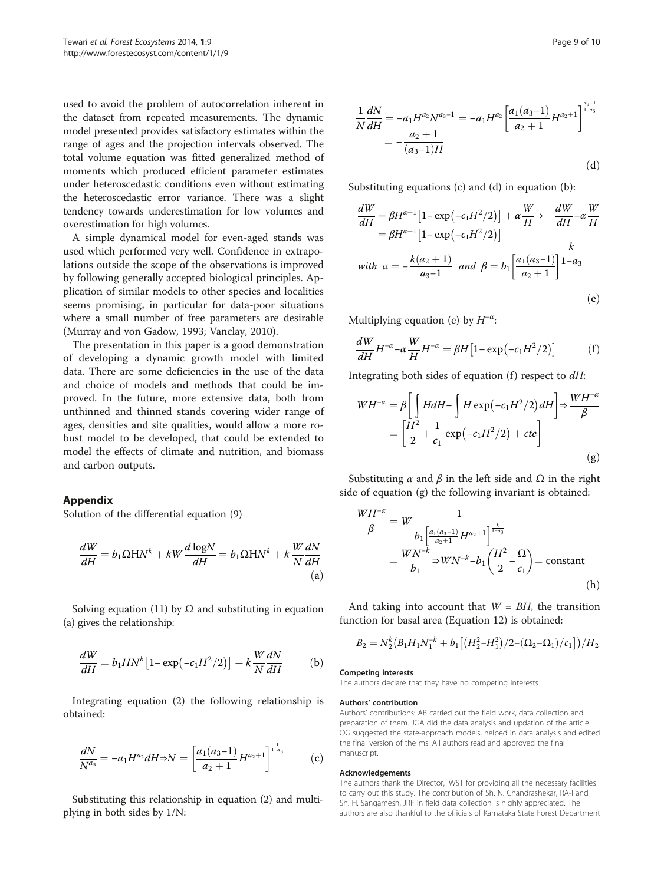<span id="page-8-0"></span>used to avoid the problem of autocorrelation inherent in the dataset from repeated measurements. The dynamic model presented provides satisfactory estimates within the range of ages and the projection intervals observed. The total volume equation was fitted generalized method of moments which produced efficient parameter estimates under heteroscedastic conditions even without estimating the heteroscedastic error variance. There was a slight tendency towards underestimation for low volumes and overestimation for high volumes.

A simple dynamical model for even-aged stands was used which performed very well. Confidence in extrapolations outside the scope of the observations is improved by following generally accepted biological principles. Application of similar models to other species and localities seems promising, in particular for data-poor situations where a small number of free parameters are desirable (Murray and von Gadow, [1993;](#page-9-0) Vanclay, [2010](#page-9-0)).

The presentation in this paper is a good demonstration of developing a dynamic growth model with limited data. There are some deficiencies in the use of the data and choice of models and methods that could be improved. In the future, more extensive data, both from unthinned and thinned stands covering wider range of ages, densities and site qualities, would allow a more robust model to be developed, that could be extended to model the effects of climate and nutrition, and biomass and carbon outputs.

## Appendix

Solution of the differential equation [\(9](#page-3-0))

$$
\frac{dW}{dH} = b_1 \Omega H N^k + kW \frac{d \log N}{dH} = b_1 \Omega H N^k + k \frac{W}{N} \frac{dN}{dH}
$$
\n(a)

Solving equation ([11\)](#page-3-0) by  $\Omega$  and substituting in equation (a) gives the relationship:

$$
\frac{dW}{dH} = b_1 H N^k \left[ 1 - \exp\left(-c_1 H^2 / 2\right) \right] + k \frac{W}{N} \frac{dN}{dH} \tag{b}
$$

Integrating equation ([2\)](#page-2-0) the following relationship is obtained:

$$
\frac{dN}{N^{a_3}} = -a_1 H^{a_2} dH \Rightarrow N = \left[ \frac{a_1(a_3-1)}{a_2+1} H^{a_2+1} \right]^{\frac{1}{1-a_3}} \qquad (c)
$$

Substituting this relationship in equation [\(2](#page-2-0)) and multiplying in both sides by 1/N:

$$
\frac{1}{N}\frac{dN}{dH} = -a_1 H^{a_2} N^{a_3 - 1} = -a_1 H^{a_2} \left[ \frac{a_1(a_3 - 1)}{a_2 + 1} H^{a_2 + 1} \right]^{\frac{a_3 - 1}{1 - a_3}} \n= -\frac{a_2 + 1}{(a_3 - 1)H}
$$
\n(d)

Substituting equations (c) and (d) in equation (b):

$$
\frac{dW}{dH} = \beta H^{\alpha+1} \left[ 1 - \exp(-c_1 H^2 / 2) \right] + \alpha \frac{W}{H} \Rightarrow \frac{dW}{dH} - \alpha \frac{W}{H}
$$

$$
= \beta H^{\alpha+1} \left[ 1 - \exp(-c_1 H^2 / 2) \right]
$$
  
with  $\alpha = -\frac{k(a_2 + 1)}{a_3 - 1}$  and  $\beta = b_1 \left[ \frac{a_1(a_3 - 1)}{a_2 + 1} \right] \frac{k}{1 - a_3}$   
(e)

Multiplying equation (e) by  $H^{-\alpha}$ :

$$
\frac{dW}{dH}H^{-\alpha} - \alpha \frac{W}{H}H^{-\alpha} = \beta H \left[1 - \exp\left(-c_1 H^2/2\right)\right] \tag{f}
$$

Integrating both sides of equation (f) respect to  $dH$ :

$$
WH^{-\alpha} = \beta \left[ \int H dH - \int H \exp(-c_1 H^2/2) dH \right] \Rightarrow \frac{WH^{-\alpha}}{\beta}
$$

$$
= \left[ \frac{H^2}{2} + \frac{1}{c_1} \exp(-c_1 H^2/2) + cte \right]
$$
(g)

Substituting  $\alpha$  and  $\beta$  in the left side and  $\Omega$  in the right side of equation (g) the following invariant is obtained:

$$
\frac{WH^{-\alpha}}{\beta} = W \frac{1}{b_1 \left[\frac{a_1(a_3-1)}{a_2+1} H^{a_2+1}\right]^{\frac{k}{1-a_3}}}
$$

$$
= \frac{WN^{-k}}{b_1} \Rightarrow WW^{-k} - b_1 \left(\frac{H^2}{2} - \frac{\Omega}{c_1}\right) = \text{constant}
$$
(h)

And taking into account that  $W = BH$ , the transition function for basal area (Equation [12](#page-3-0)) is obtained:

$$
B_2 = N_2^k (B_1 H_1 N_1^{-k} + b_1 [(H_2^2 - H_1^2)/2 - (\Omega_2 - \Omega_1)/c_1]) / H_2
$$

#### Competing interests

The authors declare that they have no competing interests.

#### Authors' contribution

Authors' contributions: AB carried out the field work, data collection and preparation of them. JGA did the data analysis and updation of the article. OG suggested the state-approach models, helped in data analysis and edited the final version of the ms. All authors read and approved the final manuscript.

#### Acknowledgements

The authors thank the Director, IWST for providing all the necessary facilities to carry out this study. The contribution of Sh. N. Chandrashekar, RA-I and Sh. H. Sangamesh, JRF in field data collection is highly appreciated. The authors are also thankful to the officials of Karnataka State Forest Department